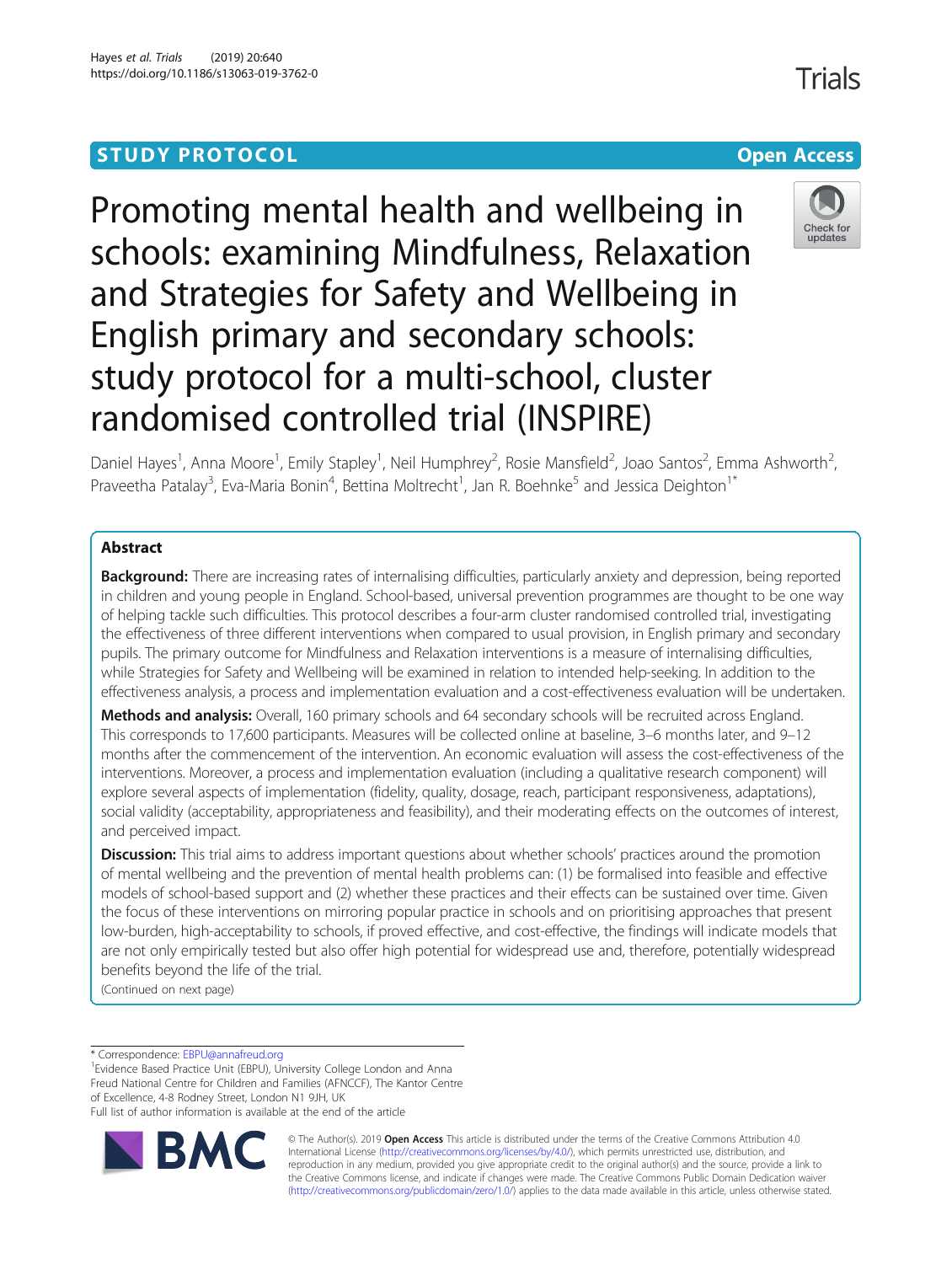# **STUDY PROTOCOL CONSUMING THE CONSUMING OPEN ACCESS**

Promoting mental health and wellbeing in schools: examining Mindfulness, Relaxation and Strategies for Safety and Wellbeing in English primary and secondary schools: study protocol for a multi-school, cluster randomised controlled trial (INSPIRE)



Daniel Hayes<sup>1</sup>, Anna Moore<sup>1</sup>, Emily Stapley<sup>1</sup>, Neil Humphrey<sup>2</sup>, Rosie Mansfield<sup>2</sup>, Joao Santos<sup>2</sup>, Emma Ashworth<sup>2</sup> .<br>, Praveetha Patalay<sup>3</sup>, Eva-Maria Bonin<sup>4</sup>, Bettina Moltrecht<sup>1</sup>, Jan R. Boehnke<sup>5</sup> and Jessica Deighton<sup>1\*</sup>

# Abstract

**Background:** There are increasing rates of internalising difficulties, particularly anxiety and depression, being reported in children and young people in England. School-based, universal prevention programmes are thought to be one way of helping tackle such difficulties. This protocol describes a four-arm cluster randomised controlled trial, investigating the effectiveness of three different interventions when compared to usual provision, in English primary and secondary pupils. The primary outcome for Mindfulness and Relaxation interventions is a measure of internalising difficulties, while Strategies for Safety and Wellbeing will be examined in relation to intended help-seeking. In addition to the effectiveness analysis, a process and implementation evaluation and a cost-effectiveness evaluation will be undertaken.

Methods and analysis: Overall, 160 primary schools and 64 secondary schools will be recruited across England. This corresponds to 17,600 participants. Measures will be collected online at baseline, 3–6 months later, and 9–12 months after the commencement of the intervention. An economic evaluation will assess the cost-effectiveness of the interventions. Moreover, a process and implementation evaluation (including a qualitative research component) will explore several aspects of implementation (fidelity, quality, dosage, reach, participant responsiveness, adaptations), social validity (acceptability, appropriateness and feasibility), and their moderating effects on the outcomes of interest, and perceived impact.

**Discussion:** This trial aims to address important questions about whether schools' practices around the promotion of mental wellbeing and the prevention of mental health problems can: (1) be formalised into feasible and effective models of school-based support and (2) whether these practices and their effects can be sustained over time. Given the focus of these interventions on mirroring popular practice in schools and on prioritising approaches that present low-burden, high-acceptability to schools, if proved effective, and cost-effective, the findings will indicate models that are not only empirically tested but also offer high potential for widespread use and, therefore, potentially widespread benefits beyond the life of the trial.

(Continued on next page)

\* Correspondence: [EBPU@annafreud.org](mailto:EBPU@annafreud.org) <sup>1</sup>

<sup>1</sup> Evidence Based Practice Unit (EBPU), University College London and Anna Freud National Centre for Children and Families (AFNCCF), The Kantor Centre of Excellence, 4-8 Rodney Street, London N1 9JH, UK Full list of author information is available at the end of the article



© The Author(s). 2019 **Open Access** This article is distributed under the terms of the Creative Commons Attribution 4.0 International License [\(http://creativecommons.org/licenses/by/4.0/](http://creativecommons.org/licenses/by/4.0/)), which permits unrestricted use, distribution, and reproduction in any medium, provided you give appropriate credit to the original author(s) and the source, provide a link to the Creative Commons license, and indicate if changes were made. The Creative Commons Public Domain Dedication waiver [\(http://creativecommons.org/publicdomain/zero/1.0/](http://creativecommons.org/publicdomain/zero/1.0/)) applies to the data made available in this article, unless otherwise stated.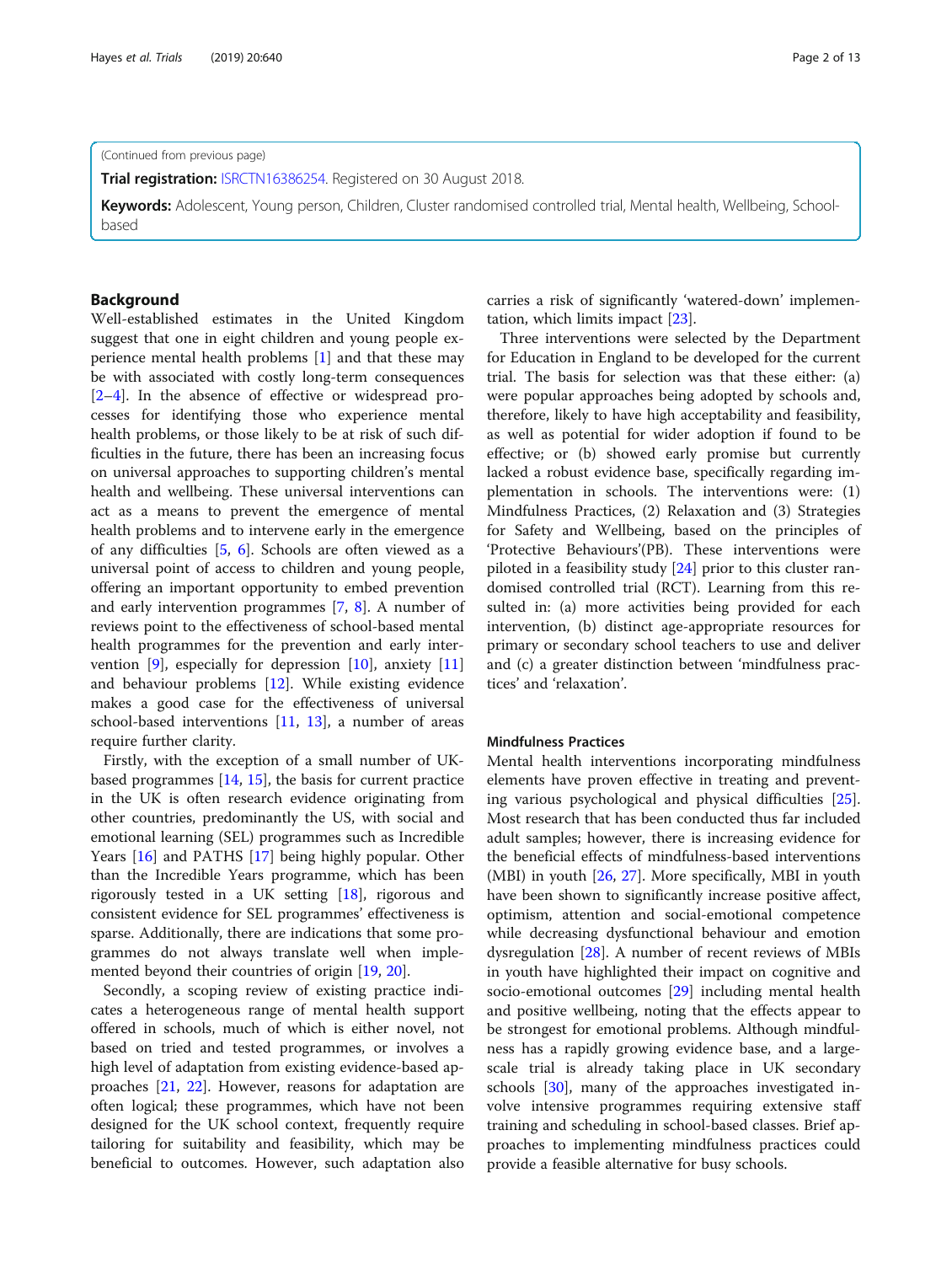**Trial registration: [ISRCTN16386254.](http://www.isrctn.com/ISRCTN16386254) Registered on 30 August 2018.** 

Keywords: Adolescent, Young person, Children, Cluster randomised controlled trial, Mental health, Wellbeing, Schoolbased

#### Background

Well-established estimates in the United Kingdom suggest that one in eight children and young people experience mental health problems [[1](#page-10-0)] and that these may be with associated with costly long-term consequences [[2](#page-10-0)–[4\]](#page-10-0). In the absence of effective or widespread processes for identifying those who experience mental health problems, or those likely to be at risk of such difficulties in the future, there has been an increasing focus on universal approaches to supporting children's mental health and wellbeing. These universal interventions can act as a means to prevent the emergence of mental health problems and to intervene early in the emergence of any difficulties [\[5](#page-10-0), [6\]](#page-10-0). Schools are often viewed as a universal point of access to children and young people, offering an important opportunity to embed prevention and early intervention programmes [[7,](#page-10-0) [8\]](#page-10-0). A number of reviews point to the effectiveness of school-based mental health programmes for the prevention and early inter-vention [\[9\]](#page-11-0), especially for depression  $[10]$  $[10]$ , anxiety  $[11]$  $[11]$  $[11]$ and behaviour problems [[12](#page-11-0)]. While existing evidence makes a good case for the effectiveness of universal school-based interventions [\[11](#page-11-0), [13\]](#page-11-0), a number of areas require further clarity.

Firstly, with the exception of a small number of UKbased programmes [[14,](#page-11-0) [15](#page-11-0)], the basis for current practice in the UK is often research evidence originating from other countries, predominantly the US, with social and emotional learning (SEL) programmes such as Incredible Years [[16\]](#page-11-0) and PATHS [[17\]](#page-11-0) being highly popular. Other than the Incredible Years programme, which has been rigorously tested in a UK setting [\[18](#page-11-0)], rigorous and consistent evidence for SEL programmes' effectiveness is sparse. Additionally, there are indications that some programmes do not always translate well when implemented beyond their countries of origin [[19,](#page-11-0) [20\]](#page-11-0).

Secondly, a scoping review of existing practice indicates a heterogeneous range of mental health support offered in schools, much of which is either novel, not based on tried and tested programmes, or involves a high level of adaptation from existing evidence-based approaches [[21](#page-11-0), [22\]](#page-11-0). However, reasons for adaptation are often logical; these programmes, which have not been designed for the UK school context, frequently require tailoring for suitability and feasibility, which may be beneficial to outcomes. However, such adaptation also carries a risk of significantly 'watered-down' implementation, which limits impact [[23\]](#page-11-0).

Three interventions were selected by the Department for Education in England to be developed for the current trial. The basis for selection was that these either: (a) were popular approaches being adopted by schools and, therefore, likely to have high acceptability and feasibility, as well as potential for wider adoption if found to be effective; or (b) showed early promise but currently lacked a robust evidence base, specifically regarding implementation in schools. The interventions were: (1) Mindfulness Practices, (2) Relaxation and (3) Strategies for Safety and Wellbeing, based on the principles of 'Protective Behaviours'(PB). These interventions were piloted in a feasibility study [\[24](#page-11-0)] prior to this cluster randomised controlled trial (RCT). Learning from this resulted in: (a) more activities being provided for each intervention, (b) distinct age-appropriate resources for primary or secondary school teachers to use and deliver and (c) a greater distinction between 'mindfulness practices' and 'relaxation'.

# Mindfulness Practices

Mental health interventions incorporating mindfulness elements have proven effective in treating and preventing various psychological and physical difficulties [\[25](#page-11-0)]. Most research that has been conducted thus far included adult samples; however, there is increasing evidence for the beneficial effects of mindfulness-based interventions (MBI) in youth [[26](#page-11-0), [27\]](#page-11-0). More specifically, MBI in youth have been shown to significantly increase positive affect, optimism, attention and social-emotional competence while decreasing dysfunctional behaviour and emotion dysregulation [\[28\]](#page-11-0). A number of recent reviews of MBIs in youth have highlighted their impact on cognitive and socio-emotional outcomes [\[29](#page-11-0)] including mental health and positive wellbeing, noting that the effects appear to be strongest for emotional problems. Although mindfulness has a rapidly growing evidence base, and a largescale trial is already taking place in UK secondary schools [\[30\]](#page-11-0), many of the approaches investigated involve intensive programmes requiring extensive staff training and scheduling in school-based classes. Brief approaches to implementing mindfulness practices could provide a feasible alternative for busy schools.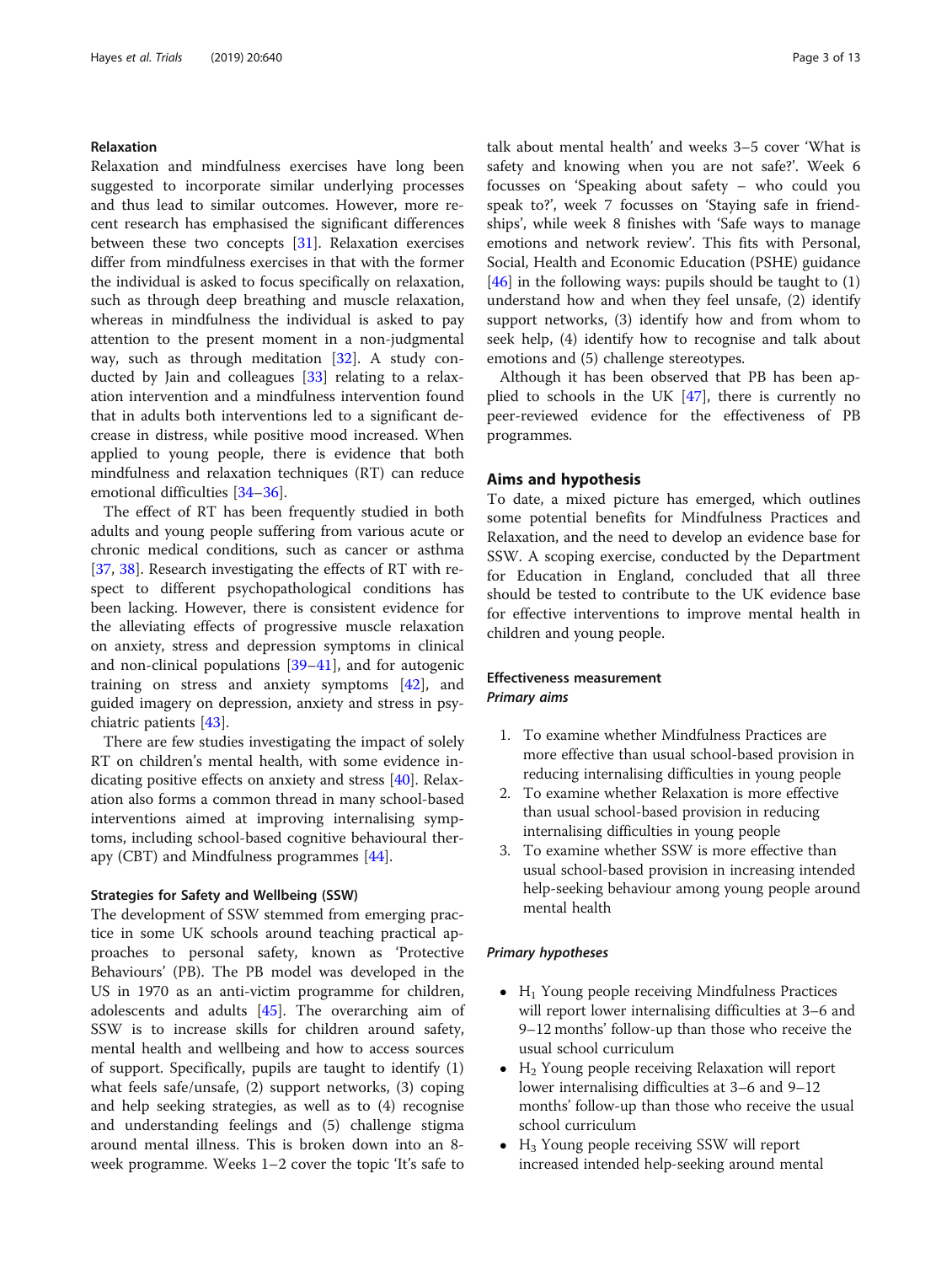### Relaxation

Relaxation and mindfulness exercises have long been suggested to incorporate similar underlying processes and thus lead to similar outcomes. However, more recent research has emphasised the significant differences between these two concepts [\[31\]](#page-11-0). Relaxation exercises differ from mindfulness exercises in that with the former the individual is asked to focus specifically on relaxation, such as through deep breathing and muscle relaxation, whereas in mindfulness the individual is asked to pay attention to the present moment in a non-judgmental way, such as through meditation [[32](#page-11-0)]. A study conducted by Jain and colleagues [\[33\]](#page-11-0) relating to a relaxation intervention and a mindfulness intervention found that in adults both interventions led to a significant decrease in distress, while positive mood increased. When applied to young people, there is evidence that both mindfulness and relaxation techniques (RT) can reduce emotional difficulties [[34](#page-11-0)–[36](#page-11-0)].

The effect of RT has been frequently studied in both adults and young people suffering from various acute or chronic medical conditions, such as cancer or asthma [[37,](#page-11-0) [38\]](#page-11-0). Research investigating the effects of RT with respect to different psychopathological conditions has been lacking. However, there is consistent evidence for the alleviating effects of progressive muscle relaxation on anxiety, stress and depression symptoms in clinical and non-clinical populations [\[39](#page-11-0)–[41\]](#page-11-0), and for autogenic training on stress and anxiety symptoms [\[42](#page-11-0)], and guided imagery on depression, anxiety and stress in psychiatric patients [\[43](#page-11-0)].

There are few studies investigating the impact of solely RT on children's mental health, with some evidence indicating positive effects on anxiety and stress [[40\]](#page-11-0). Relaxation also forms a common thread in many school-based interventions aimed at improving internalising symptoms, including school-based cognitive behavioural therapy (CBT) and Mindfulness programmes [[44\]](#page-11-0).

#### Strategies for Safety and Wellbeing (SSW)

The development of SSW stemmed from emerging practice in some UK schools around teaching practical approaches to personal safety, known as 'Protective Behaviours' (PB). The PB model was developed in the US in 1970 as an anti-victim programme for children, adolescents and adults [[45\]](#page-11-0). The overarching aim of SSW is to increase skills for children around safety, mental health and wellbeing and how to access sources of support. Specifically, pupils are taught to identify (1) what feels safe/unsafe, (2) support networks, (3) coping and help seeking strategies, as well as to (4) recognise and understanding feelings and (5) challenge stigma around mental illness. This is broken down into an 8 week programme. Weeks 1–2 cover the topic 'It's safe to

talk about mental health' and weeks 3–5 cover 'What is safety and knowing when you are not safe?'. Week 6 focusses on 'Speaking about safety – who could you speak to?', week 7 focusses on 'Staying safe in friendships', while week 8 finishes with 'Safe ways to manage emotions and network review'. This fits with Personal, Social, Health and Economic Education (PSHE) guidance [[46\]](#page-11-0) in the following ways: pupils should be taught to  $(1)$ understand how and when they feel unsafe, (2) identify support networks, (3) identify how and from whom to seek help, (4) identify how to recognise and talk about emotions and (5) challenge stereotypes.

Although it has been observed that PB has been applied to schools in the UK [\[47](#page-11-0)], there is currently no peer-reviewed evidence for the effectiveness of PB programmes.

# Aims and hypothesis

To date, a mixed picture has emerged, which outlines some potential benefits for Mindfulness Practices and Relaxation, and the need to develop an evidence base for SSW. A scoping exercise, conducted by the Department for Education in England, concluded that all three should be tested to contribute to the UK evidence base for effective interventions to improve mental health in children and young people.

# Effectiveness measurement Primary aims

- 1. To examine whether Mindfulness Practices are more effective than usual school-based provision in reducing internalising difficulties in young people
- 2. To examine whether Relaxation is more effective than usual school-based provision in reducing internalising difficulties in young people
- 3. To examine whether SSW is more effective than usual school-based provision in increasing intended help-seeking behaviour among young people around mental health

#### Primary hypotheses

- $\bullet$  H<sub>1</sub> Young people receiving Mindfulness Practices will report lower internalising difficulties at 3–6 and 9–12 months' follow-up than those who receive the usual school curriculum
- $\bullet$  H<sub>2</sub> Young people receiving Relaxation will report lower internalising difficulties at 3–6 and 9–12 months' follow-up than those who receive the usual school curriculum
- $\bullet$  H<sub>3</sub> Young people receiving SSW will report increased intended help-seeking around mental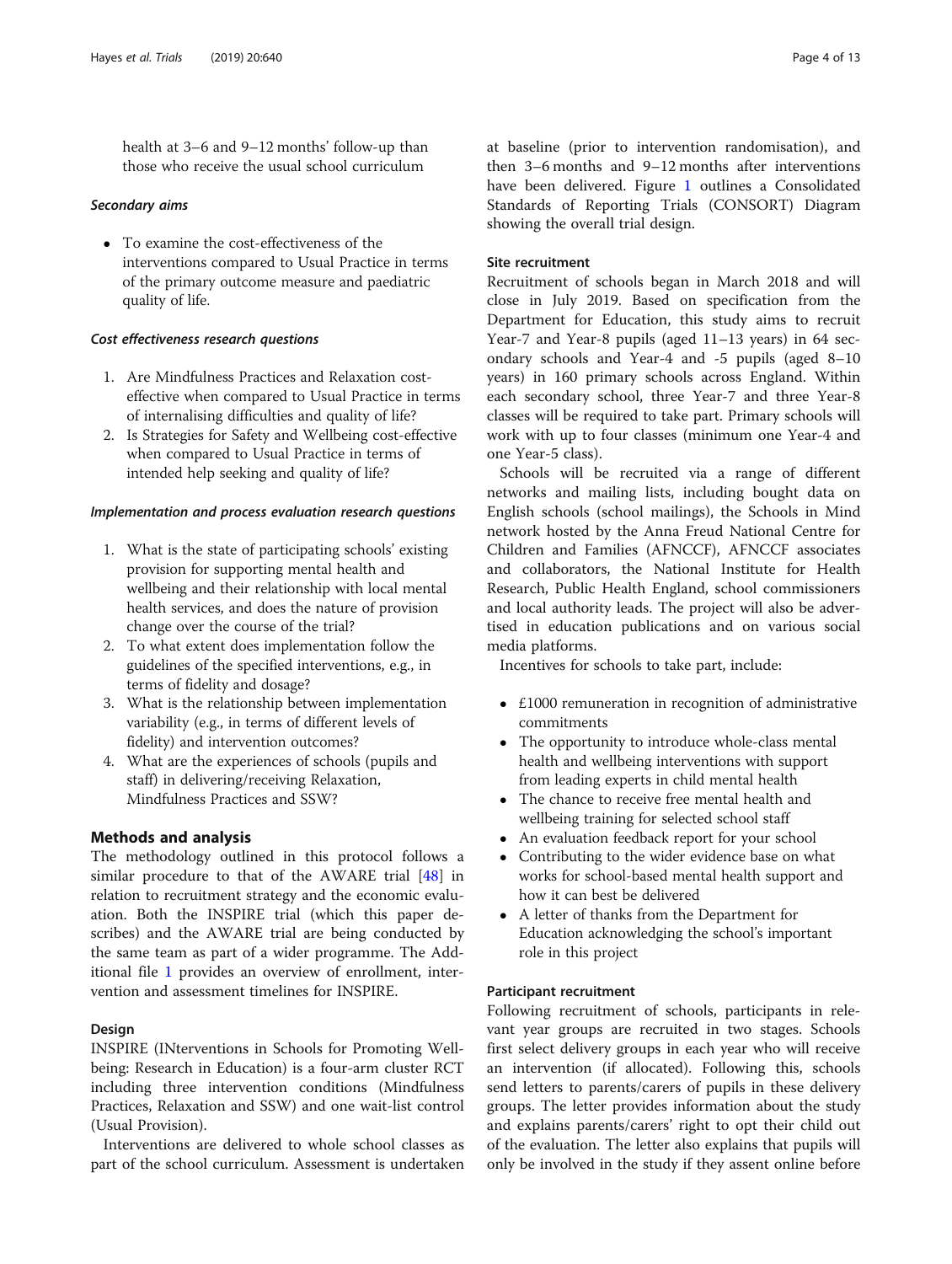health at 3–6 and 9–12 months' follow-up than those who receive the usual school curriculum

#### Secondary aims

 To examine the cost-effectiveness of the interventions compared to Usual Practice in terms of the primary outcome measure and paediatric quality of life.

# Cost effectiveness research questions

- 1. Are Mindfulness Practices and Relaxation costeffective when compared to Usual Practice in terms of internalising difficulties and quality of life?
- 2. Is Strategies for Safety and Wellbeing cost-effective when compared to Usual Practice in terms of intended help seeking and quality of life?

#### Implementation and process evaluation research questions

- 1. What is the state of participating schools' existing provision for supporting mental health and wellbeing and their relationship with local mental health services, and does the nature of provision change over the course of the trial?
- 2. To what extent does implementation follow the guidelines of the specified interventions, e.g., in terms of fidelity and dosage?
- 3. What is the relationship between implementation variability (e.g., in terms of different levels of fidelity) and intervention outcomes?
- 4. What are the experiences of schools (pupils and staff) in delivering/receiving Relaxation, Mindfulness Practices and SSW?

# Methods and analysis

The methodology outlined in this protocol follows a similar procedure to that of the AWARE trial [[48\]](#page-11-0) in relation to recruitment strategy and the economic evaluation. Both the INSPIRE trial (which this paper describes) and the AWARE trial are being conducted by the same team as part of a wider programme. The Additional file [1](#page-9-0) provides an overview of enrollment, intervention and assessment timelines for INSPIRE.

#### Design

INSPIRE (INterventions in Schools for Promoting Wellbeing: Research in Education) is a four-arm cluster RCT including three intervention conditions (Mindfulness Practices, Relaxation and SSW) and one wait-list control (Usual Provision).

Interventions are delivered to whole school classes as part of the school curriculum. Assessment is undertaken at baseline (prior to intervention randomisation), and then 3–6 months and 9–12 months after interventions have been delivered. Figure [1](#page-4-0) outlines a Consolidated Standards of Reporting Trials (CONSORT) Diagram showing the overall trial design.

# Site recruitment

Recruitment of schools began in March 2018 and will close in July 2019. Based on specification from the Department for Education, this study aims to recruit Year-7 and Year-8 pupils (aged 11–13 years) in 64 secondary schools and Year-4 and -5 pupils (aged 8–10 years) in 160 primary schools across England. Within each secondary school, three Year-7 and three Year-8 classes will be required to take part. Primary schools will work with up to four classes (minimum one Year-4 and one Year-5 class).

Schools will be recruited via a range of different networks and mailing lists, including bought data on English schools (school mailings), the Schools in Mind network hosted by the Anna Freud National Centre for Children and Families (AFNCCF), AFNCCF associates and collaborators, the National Institute for Health Research, Public Health England, school commissioners and local authority leads. The project will also be advertised in education publications and on various social media platforms.

Incentives for schools to take part, include:

- £1000 remuneration in recognition of administrative commitments
- The opportunity to introduce whole-class mental health and wellbeing interventions with support from leading experts in child mental health
- The chance to receive free mental health and wellbeing training for selected school staff
- An evaluation feedback report for your school
- Contributing to the wider evidence base on what works for school-based mental health support and how it can best be delivered
- A letter of thanks from the Department for Education acknowledging the school's important role in this project

# Participant recruitment

Following recruitment of schools, participants in relevant year groups are recruited in two stages. Schools first select delivery groups in each year who will receive an intervention (if allocated). Following this, schools send letters to parents/carers of pupils in these delivery groups. The letter provides information about the study and explains parents/carers' right to opt their child out of the evaluation. The letter also explains that pupils will only be involved in the study if they assent online before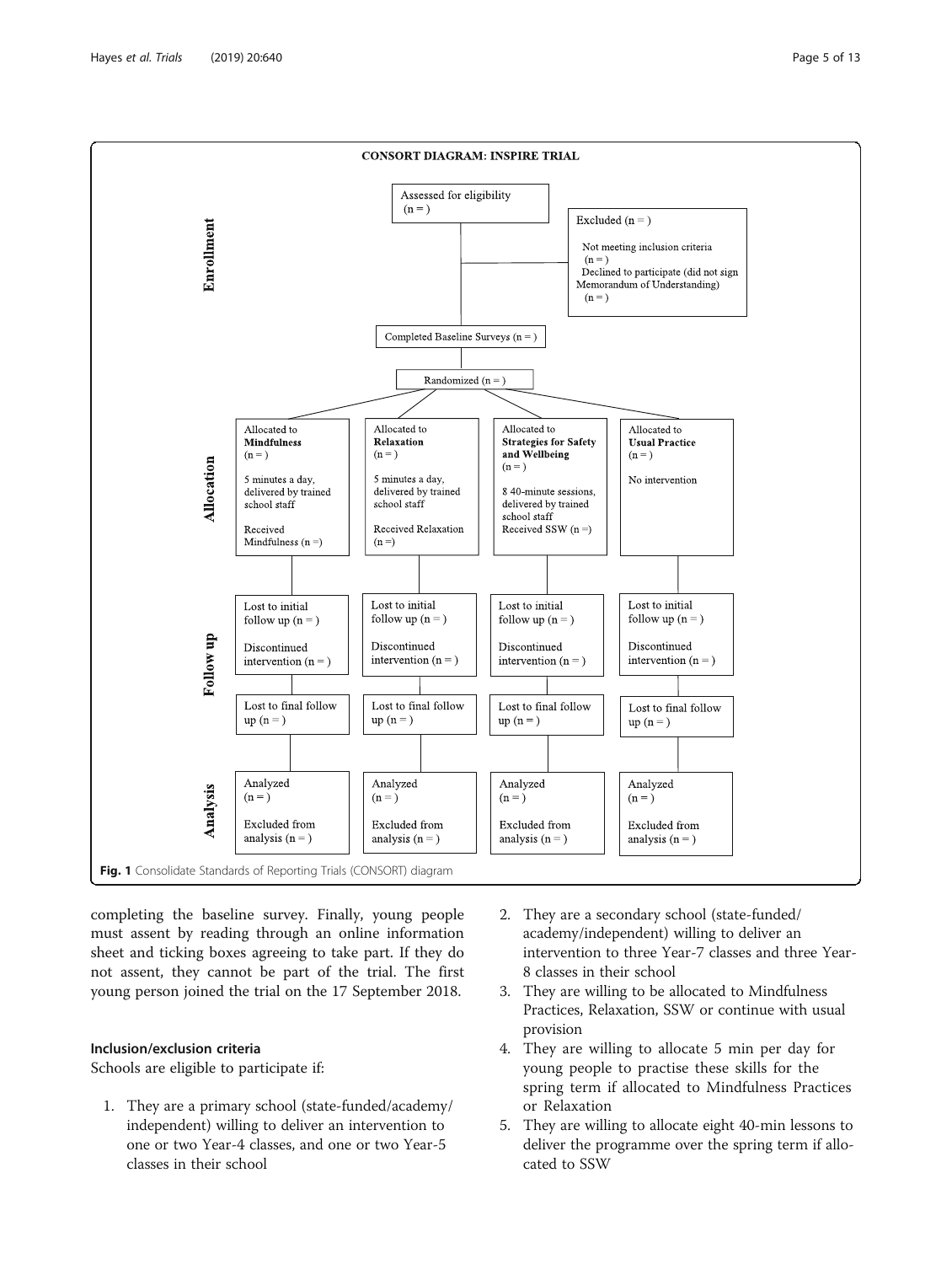<span id="page-4-0"></span>

completing the baseline survey. Finally, young people must assent by reading through an online information sheet and ticking boxes agreeing to take part. If they do not assent, they cannot be part of the trial. The first young person joined the trial on the 17 September 2018.

# Inclusion/exclusion criteria

Schools are eligible to participate if:

- 1. They are a primary school (state-funded/academy/ independent) willing to deliver an intervention to one or two Year-4 classes, and one or two Year-5 classes in their school
- 2. They are a secondary school (state-funded/ academy/independent) willing to deliver an intervention to three Year-7 classes and three Year-8 classes in their school
- 3. They are willing to be allocated to Mindfulness Practices, Relaxation, SSW or continue with usual provision
- 4. They are willing to allocate 5 min per day for young people to practise these skills for the spring term if allocated to Mindfulness Practices or Relaxation
- 5. They are willing to allocate eight 40-min lessons to deliver the programme over the spring term if allocated to SSW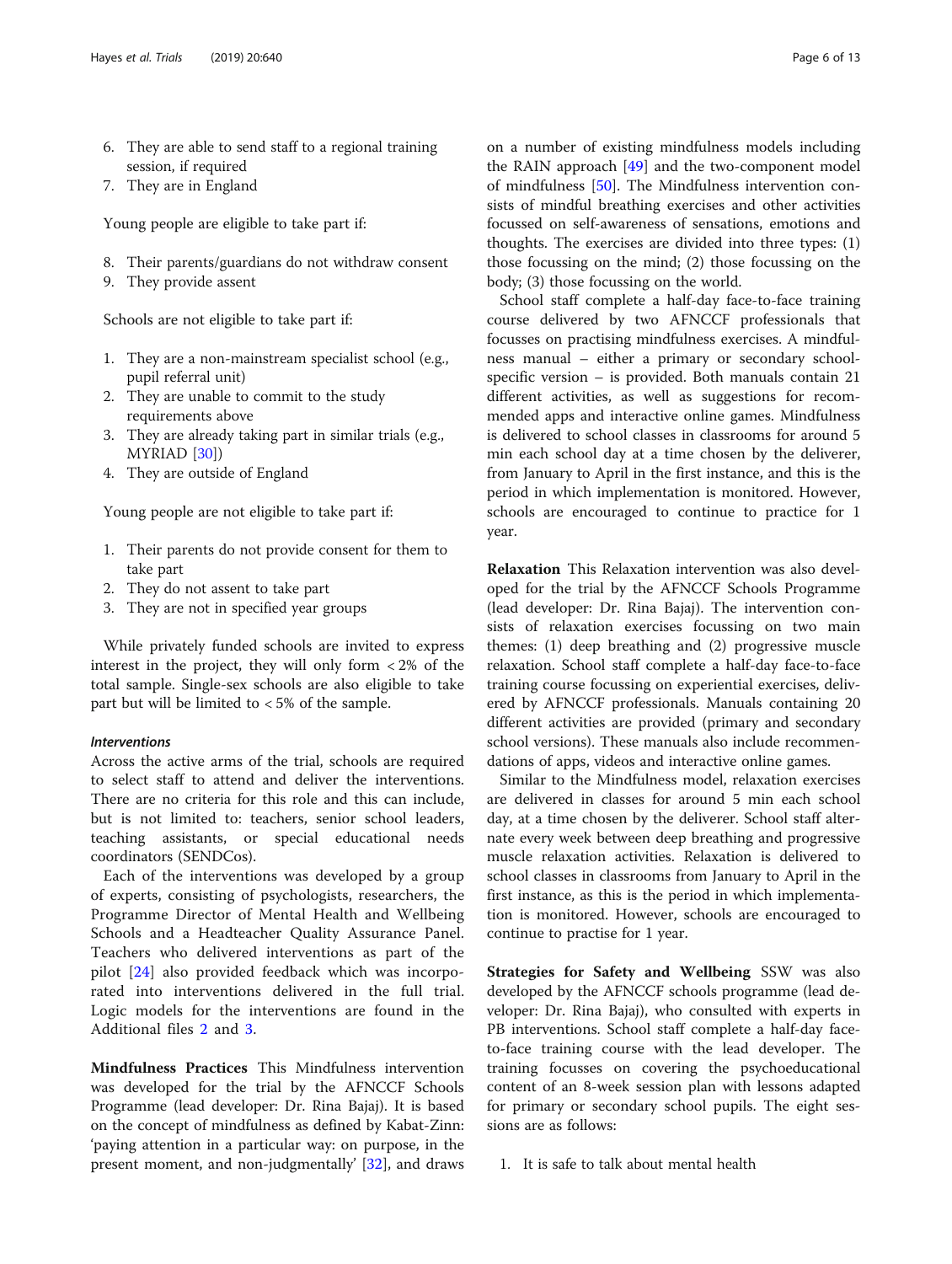7. They are in England

Young people are eligible to take part if:

- 8. Their parents/guardians do not withdraw consent
- 9. They provide assent

Schools are not eligible to take part if:

- 1. They are a non-mainstream specialist school (e.g., pupil referral unit)
- 2. They are unable to commit to the study requirements above
- 3. They are already taking part in similar trials (e.g., MYRIAD [[30](#page-11-0)])
- 4. They are outside of England

Young people are not eligible to take part if:

- 1. Their parents do not provide consent for them to take part
- 2. They do not assent to take part
- 3. They are not in specified year groups

While privately funded schools are invited to express interest in the project, they will only form  $\langle 2\% \rangle$  of the total sample. Single-sex schools are also eligible to take part but will be limited to < 5% of the sample.

### Interventions

Across the active arms of the trial, schools are required to select staff to attend and deliver the interventions. There are no criteria for this role and this can include, but is not limited to: teachers, senior school leaders, teaching assistants, or special educational needs coordinators (SENDCos).

Each of the interventions was developed by a group of experts, consisting of psychologists, researchers, the Programme Director of Mental Health and Wellbeing Schools and a Headteacher Quality Assurance Panel. Teachers who delivered interventions as part of the pilot [[24\]](#page-11-0) also provided feedback which was incorporated into interventions delivered in the full trial. Logic models for the interventions are found in the Additional files [2](#page-9-0) and [3](#page-9-0).

Mindfulness Practices This Mindfulness intervention was developed for the trial by the AFNCCF Schools Programme (lead developer: Dr. Rina Bajaj). It is based on the concept of mindfulness as defined by Kabat-Zinn: 'paying attention in a particular way: on purpose, in the present moment, and non-judgmentally' [[32](#page-11-0)], and draws

on a number of existing mindfulness models including the RAIN approach [[49\]](#page-11-0) and the two-component model of mindfulness [\[50\]](#page-11-0). The Mindfulness intervention consists of mindful breathing exercises and other activities focussed on self-awareness of sensations, emotions and thoughts. The exercises are divided into three types: (1) those focussing on the mind; (2) those focussing on the body; (3) those focussing on the world.

School staff complete a half-day face-to-face training course delivered by two AFNCCF professionals that focusses on practising mindfulness exercises. A mindfulness manual – either a primary or secondary schoolspecific version – is provided. Both manuals contain 21 different activities, as well as suggestions for recommended apps and interactive online games. Mindfulness is delivered to school classes in classrooms for around 5 min each school day at a time chosen by the deliverer, from January to April in the first instance, and this is the period in which implementation is monitored. However, schools are encouraged to continue to practice for 1 year.

Relaxation This Relaxation intervention was also developed for the trial by the AFNCCF Schools Programme (lead developer: Dr. Rina Bajaj). The intervention consists of relaxation exercises focussing on two main themes: (1) deep breathing and (2) progressive muscle relaxation. School staff complete a half-day face-to-face training course focussing on experiential exercises, delivered by AFNCCF professionals. Manuals containing 20 different activities are provided (primary and secondary school versions). These manuals also include recommendations of apps, videos and interactive online games.

Similar to the Mindfulness model, relaxation exercises are delivered in classes for around 5 min each school day, at a time chosen by the deliverer. School staff alternate every week between deep breathing and progressive muscle relaxation activities. Relaxation is delivered to school classes in classrooms from January to April in the first instance, as this is the period in which implementation is monitored. However, schools are encouraged to continue to practise for 1 year.

Strategies for Safety and Wellbeing SSW was also developed by the AFNCCF schools programme (lead developer: Dr. Rina Bajaj), who consulted with experts in PB interventions. School staff complete a half-day faceto-face training course with the lead developer. The training focusses on covering the psychoeducational content of an 8-week session plan with lessons adapted for primary or secondary school pupils. The eight sessions are as follows:

1. It is safe to talk about mental health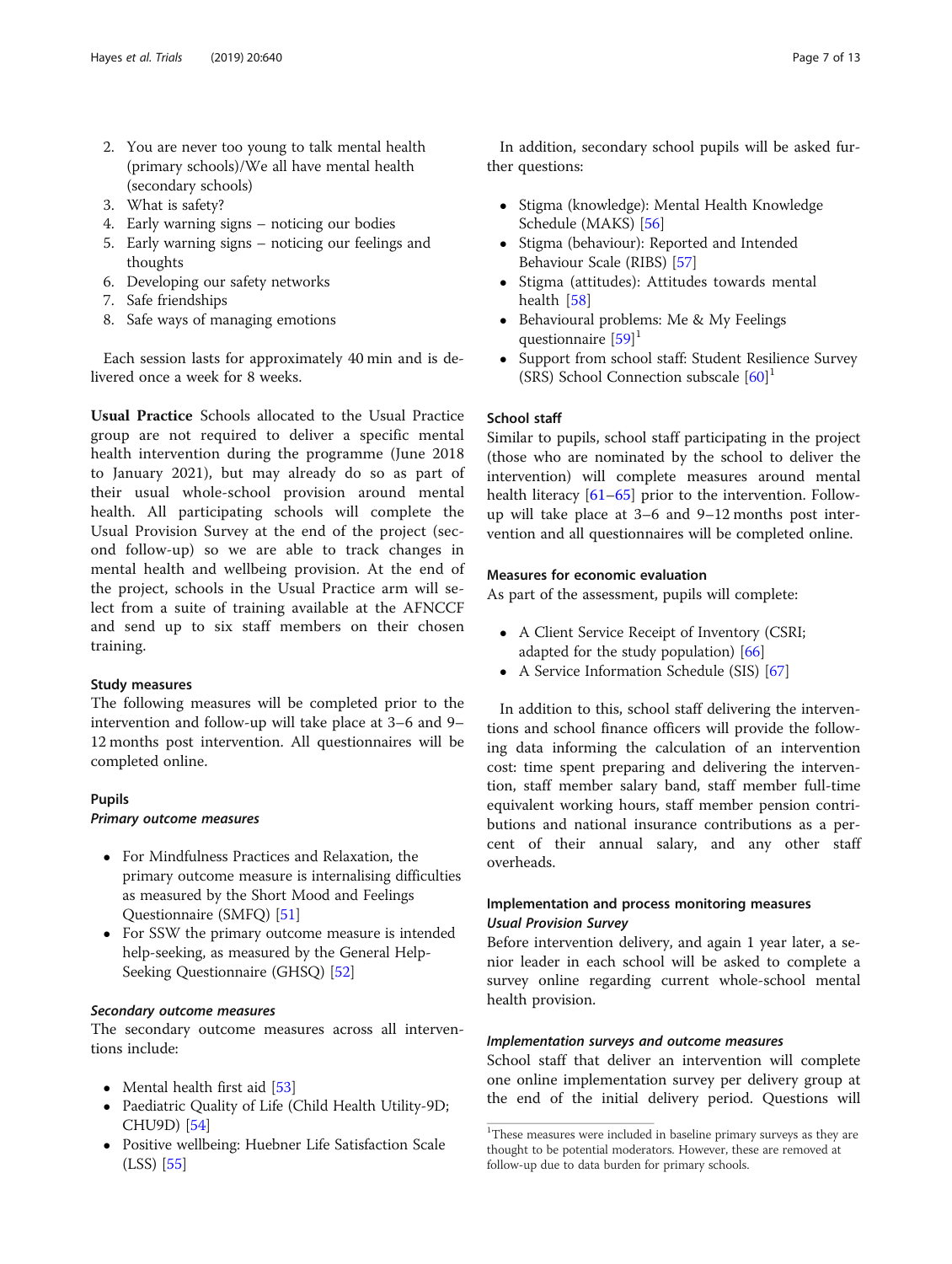- 3. What is safety?
- 4. Early warning signs noticing our bodies
- 5. Early warning signs noticing our feelings and thoughts
- 6. Developing our safety networks
- 7. Safe friendships
- 8. Safe ways of managing emotions

Each session lasts for approximately 40 min and is delivered once a week for 8 weeks.

Usual Practice Schools allocated to the Usual Practice group are not required to deliver a specific mental health intervention during the programme (June 2018 to January 2021), but may already do so as part of their usual whole-school provision around mental health. All participating schools will complete the Usual Provision Survey at the end of the project (second follow-up) so we are able to track changes in mental health and wellbeing provision. At the end of the project, schools in the Usual Practice arm will select from a suite of training available at the AFNCCF and send up to six staff members on their chosen training.

### Study measures

The following measures will be completed prior to the intervention and follow-up will take place at 3–6 and 9– 12 months post intervention. All questionnaires will be completed online.

### Pupils

# Primary outcome measures

- For Mindfulness Practices and Relaxation, the primary outcome measure is internalising difficulties as measured by the Short Mood and Feelings Questionnaire (SMFQ) [\[51](#page-11-0)]
- For SSW the primary outcome measure is intended help-seeking, as measured by the General Help-Seeking Questionnaire (GHSQ) [[52](#page-11-0)]

### Secondary outcome measures

The secondary outcome measures across all interventions include:

- Mental health first aid [[53](#page-11-0)]
- Paediatric Quality of Life (Child Health Utility-9D; CHU9D) [\[54\]](#page-11-0)
- Positive wellbeing: Huebner Life Satisfaction Scale (LSS) [\[55](#page-11-0)]

In addition, secondary school pupils will be asked further questions:

- Stigma (knowledge): Mental Health Knowledge Schedule (MAKS) [\[56](#page-12-0)]
- Stigma (behaviour): Reported and Intended Behaviour Scale (RIBS) [[57](#page-12-0)]
- Stigma (attitudes): Attitudes towards mental health [\[58](#page-12-0)]
- Behavioural problems: Me & My Feelings questionnaire [\[59\]](#page-12-0)<sup>1</sup>
- Support from school staff: Student Resilience Survey (SRS) School Connection subscale [[60](#page-12-0)] 1

# School staff

Similar to pupils, school staff participating in the project (those who are nominated by the school to deliver the intervention) will complete measures around mental health literacy [\[61](#page-12-0)–[65\]](#page-12-0) prior to the intervention. Followup will take place at 3–6 and 9–12 months post intervention and all questionnaires will be completed online.

# Measures for economic evaluation

As part of the assessment, pupils will complete:

- A Client Service Receipt of Inventory (CSRI; adapted for the study population) [\[66\]](#page-12-0)
- A Service Information Schedule (SIS) [[67](#page-12-0)]

In addition to this, school staff delivering the interventions and school finance officers will provide the following data informing the calculation of an intervention cost: time spent preparing and delivering the intervention, staff member salary band, staff member full-time equivalent working hours, staff member pension contributions and national insurance contributions as a percent of their annual salary, and any other staff overheads.

# Implementation and process monitoring measures Usual Provision Survey

Before intervention delivery, and again 1 year later, a senior leader in each school will be asked to complete a survey online regarding current whole-school mental health provision.

### Implementation surveys and outcome measures

School staff that deliver an intervention will complete one online implementation survey per delivery group at the end of the initial delivery period. Questions will

<sup>&</sup>lt;sup>1</sup>These measures were included in baseline primary surveys as they are thought to be potential moderators. However, these are removed at follow-up due to data burden for primary schools.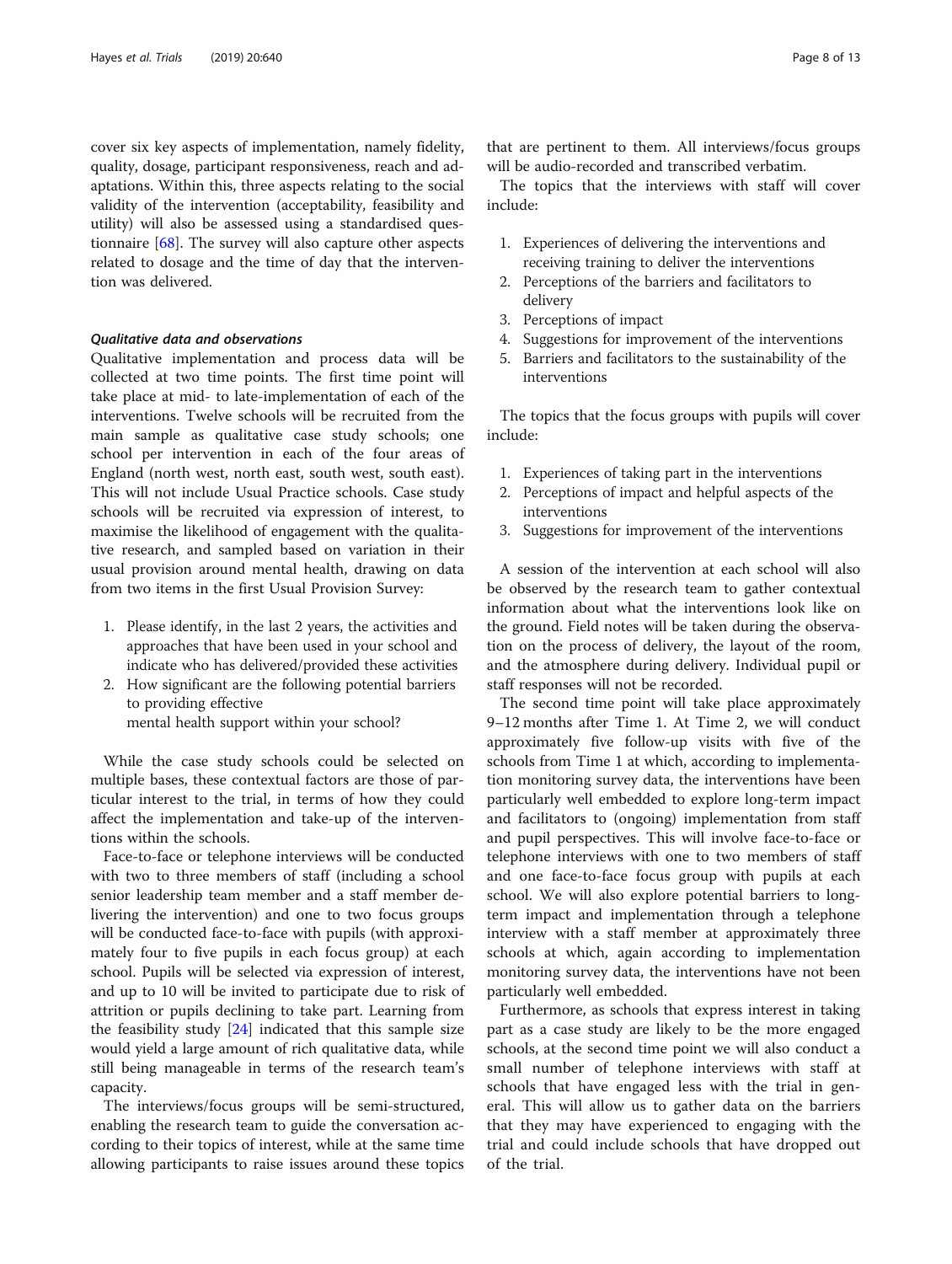cover six key aspects of implementation, namely fidelity, quality, dosage, participant responsiveness, reach and adaptations. Within this, three aspects relating to the social validity of the intervention (acceptability, feasibility and utility) will also be assessed using a standardised questionnaire [[68](#page-12-0)]. The survey will also capture other aspects related to dosage and the time of day that the intervention was delivered.

#### Qualitative data and observations

Qualitative implementation and process data will be collected at two time points. The first time point will take place at mid- to late-implementation of each of the interventions. Twelve schools will be recruited from the main sample as qualitative case study schools; one school per intervention in each of the four areas of England (north west, north east, south west, south east). This will not include Usual Practice schools. Case study schools will be recruited via expression of interest, to maximise the likelihood of engagement with the qualitative research, and sampled based on variation in their usual provision around mental health, drawing on data from two items in the first Usual Provision Survey:

- 1. Please identify, in the last 2 years, the activities and approaches that have been used in your school and indicate who has delivered/provided these activities
- 2. How significant are the following potential barriers to providing effective mental health support within your school?

While the case study schools could be selected on multiple bases, these contextual factors are those of particular interest to the trial, in terms of how they could affect the implementation and take-up of the interventions within the schools.

Face-to-face or telephone interviews will be conducted with two to three members of staff (including a school senior leadership team member and a staff member delivering the intervention) and one to two focus groups will be conducted face-to-face with pupils (with approximately four to five pupils in each focus group) at each school. Pupils will be selected via expression of interest, and up to 10 will be invited to participate due to risk of attrition or pupils declining to take part. Learning from the feasibility study  $[24]$  $[24]$  indicated that this sample size would yield a large amount of rich qualitative data, while still being manageable in terms of the research team's capacity.

The interviews/focus groups will be semi-structured, enabling the research team to guide the conversation according to their topics of interest, while at the same time allowing participants to raise issues around these topics

that are pertinent to them. All interviews/focus groups will be audio-recorded and transcribed verbatim.

The topics that the interviews with staff will cover include:

- 1. Experiences of delivering the interventions and receiving training to deliver the interventions
- 2. Perceptions of the barriers and facilitators to delivery
- 3. Perceptions of impact
- 4. Suggestions for improvement of the interventions
- 5. Barriers and facilitators to the sustainability of the interventions

The topics that the focus groups with pupils will cover include:

- 1. Experiences of taking part in the interventions
- 2. Perceptions of impact and helpful aspects of the interventions
- 3. Suggestions for improvement of the interventions

A session of the intervention at each school will also be observed by the research team to gather contextual information about what the interventions look like on the ground. Field notes will be taken during the observation on the process of delivery, the layout of the room, and the atmosphere during delivery. Individual pupil or staff responses will not be recorded.

The second time point will take place approximately 9–12 months after Time 1. At Time 2, we will conduct approximately five follow-up visits with five of the schools from Time 1 at which, according to implementation monitoring survey data, the interventions have been particularly well embedded to explore long-term impact and facilitators to (ongoing) implementation from staff and pupil perspectives. This will involve face-to-face or telephone interviews with one to two members of staff and one face-to-face focus group with pupils at each school. We will also explore potential barriers to longterm impact and implementation through a telephone interview with a staff member at approximately three schools at which, again according to implementation monitoring survey data, the interventions have not been particularly well embedded.

Furthermore, as schools that express interest in taking part as a case study are likely to be the more engaged schools, at the second time point we will also conduct a small number of telephone interviews with staff at schools that have engaged less with the trial in general. This will allow us to gather data on the barriers that they may have experienced to engaging with the trial and could include schools that have dropped out of the trial.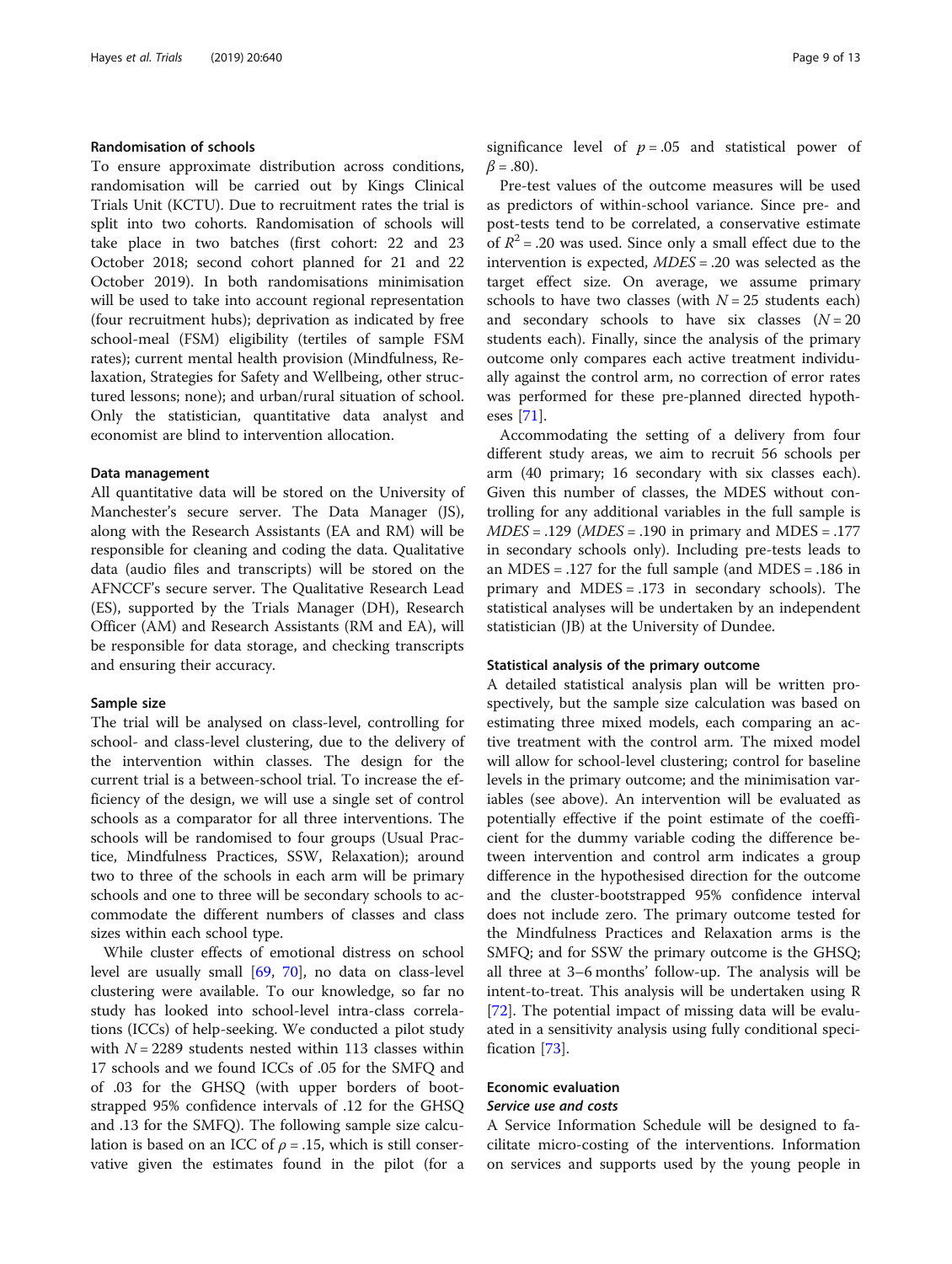#### Randomisation of schools

To ensure approximate distribution across conditions, randomisation will be carried out by Kings Clinical Trials Unit (KCTU). Due to recruitment rates the trial is split into two cohorts. Randomisation of schools will take place in two batches (first cohort: 22 and 23 October 2018; second cohort planned for 21 and 22 October 2019). In both randomisations minimisation will be used to take into account regional representation (four recruitment hubs); deprivation as indicated by free school-meal (FSM) eligibility (tertiles of sample FSM rates); current mental health provision (Mindfulness, Relaxation, Strategies for Safety and Wellbeing, other structured lessons; none); and urban/rural situation of school. Only the statistician, quantitative data analyst and economist are blind to intervention allocation.

#### Data management

All quantitative data will be stored on the University of Manchester's secure server. The Data Manager (JS), along with the Research Assistants (EA and RM) will be responsible for cleaning and coding the data. Qualitative data (audio files and transcripts) will be stored on the AFNCCF's secure server. The Qualitative Research Lead (ES), supported by the Trials Manager (DH), Research Officer (AM) and Research Assistants (RM and EA), will be responsible for data storage, and checking transcripts and ensuring their accuracy.

#### Sample size

The trial will be analysed on class-level, controlling for school- and class-level clustering, due to the delivery of the intervention within classes. The design for the current trial is a between-school trial. To increase the efficiency of the design, we will use a single set of control schools as a comparator for all three interventions. The schools will be randomised to four groups (Usual Practice, Mindfulness Practices, SSW, Relaxation); around two to three of the schools in each arm will be primary schools and one to three will be secondary schools to accommodate the different numbers of classes and class sizes within each school type.

While cluster effects of emotional distress on school level are usually small [[69,](#page-12-0) [70\]](#page-12-0), no data on class-level clustering were available. To our knowledge, so far no study has looked into school-level intra-class correlations (ICCs) of help-seeking. We conducted a pilot study with  $N = 2289$  students nested within 113 classes within 17 schools and we found ICCs of .05 for the SMFQ and of .03 for the GHSQ (with upper borders of bootstrapped 95% confidence intervals of .12 for the GHSQ and .13 for the SMFQ). The following sample size calculation is based on an ICC of  $\rho = .15$ , which is still conservative given the estimates found in the pilot (for a significance level of  $p = .05$  and statistical power of  $\beta = .80$ ).

Pre-test values of the outcome measures will be used as predictors of within-school variance. Since pre- and post-tests tend to be correlated, a conservative estimate of  $R^2$  = .20 was used. Since only a small effect due to the intervention is expected, MDES = .20 was selected as the target effect size. On average, we assume primary schools to have two classes (with  $N = 25$  students each) and secondary schools to have six classes  $(N = 20)$ students each). Finally, since the analysis of the primary outcome only compares each active treatment individually against the control arm, no correction of error rates was performed for these pre-planned directed hypotheses [\[71](#page-12-0)].

Accommodating the setting of a delivery from four different study areas, we aim to recruit 56 schools per arm (40 primary; 16 secondary with six classes each). Given this number of classes, the MDES without controlling for any additional variables in the full sample is  $MDES = .129$  ( $MDES = .190$  in primary and  $MDES = .177$ in secondary schools only). Including pre-tests leads to an MDES = .127 for the full sample (and MDES = .186 in primary and MDES = .173 in secondary schools). The statistical analyses will be undertaken by an independent statistician (JB) at the University of Dundee.

#### Statistical analysis of the primary outcome

A detailed statistical analysis plan will be written prospectively, but the sample size calculation was based on estimating three mixed models, each comparing an active treatment with the control arm. The mixed model will allow for school-level clustering; control for baseline levels in the primary outcome; and the minimisation variables (see above). An intervention will be evaluated as potentially effective if the point estimate of the coefficient for the dummy variable coding the difference between intervention and control arm indicates a group difference in the hypothesised direction for the outcome and the cluster-bootstrapped 95% confidence interval does not include zero. The primary outcome tested for the Mindfulness Practices and Relaxation arms is the SMFQ; and for SSW the primary outcome is the GHSQ; all three at 3–6 months' follow-up. The analysis will be intent-to-treat. This analysis will be undertaken using R [[72\]](#page-12-0). The potential impact of missing data will be evaluated in a sensitivity analysis using fully conditional specification [\[73](#page-12-0)].

# Economic evaluation Service use and costs

A Service Information Schedule will be designed to facilitate micro-costing of the interventions. Information on services and supports used by the young people in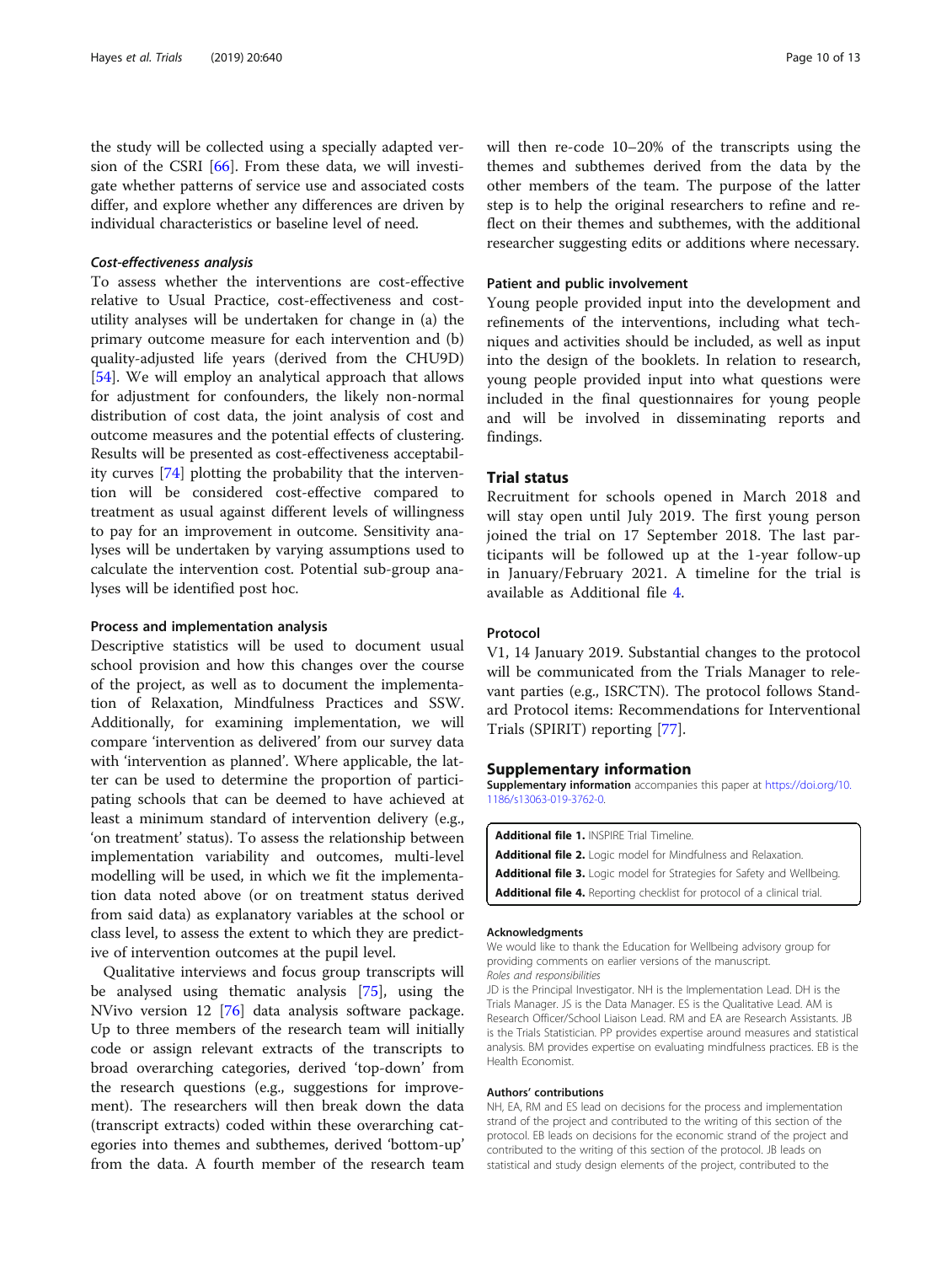<span id="page-9-0"></span>the study will be collected using a specially adapted version of the CSRI [\[66\]](#page-12-0). From these data, we will investigate whether patterns of service use and associated costs differ, and explore whether any differences are driven by individual characteristics or baseline level of need.

# Cost-effectiveness analysis

To assess whether the interventions are cost-effective relative to Usual Practice, cost-effectiveness and costutility analyses will be undertaken for change in (a) the primary outcome measure for each intervention and (b) quality-adjusted life years (derived from the CHU9D) [[54\]](#page-11-0). We will employ an analytical approach that allows for adjustment for confounders, the likely non-normal distribution of cost data, the joint analysis of cost and outcome measures and the potential effects of clustering. Results will be presented as cost-effectiveness acceptability curves [[74\]](#page-12-0) plotting the probability that the intervention will be considered cost-effective compared to treatment as usual against different levels of willingness to pay for an improvement in outcome. Sensitivity analyses will be undertaken by varying assumptions used to calculate the intervention cost. Potential sub-group analyses will be identified post hoc.

#### Process and implementation analysis

Descriptive statistics will be used to document usual school provision and how this changes over the course of the project, as well as to document the implementation of Relaxation, Mindfulness Practices and SSW. Additionally, for examining implementation, we will compare 'intervention as delivered' from our survey data with 'intervention as planned'. Where applicable, the latter can be used to determine the proportion of participating schools that can be deemed to have achieved at least a minimum standard of intervention delivery (e.g., 'on treatment' status). To assess the relationship between implementation variability and outcomes, multi-level modelling will be used, in which we fit the implementation data noted above (or on treatment status derived from said data) as explanatory variables at the school or class level, to assess the extent to which they are predictive of intervention outcomes at the pupil level.

Qualitative interviews and focus group transcripts will be analysed using thematic analysis [[75\]](#page-12-0), using the NVivo version 12 [\[76](#page-12-0)] data analysis software package. Up to three members of the research team will initially code or assign relevant extracts of the transcripts to broad overarching categories, derived 'top-down' from the research questions (e.g., suggestions for improvement). The researchers will then break down the data (transcript extracts) coded within these overarching categories into themes and subthemes, derived 'bottom-up' from the data. A fourth member of the research team will then re-code 10–20% of the transcripts using the themes and subthemes derived from the data by the other members of the team. The purpose of the latter step is to help the original researchers to refine and reflect on their themes and subthemes, with the additional researcher suggesting edits or additions where necessary.

#### Patient and public involvement

Young people provided input into the development and refinements of the interventions, including what techniques and activities should be included, as well as input into the design of the booklets. In relation to research, young people provided input into what questions were included in the final questionnaires for young people and will be involved in disseminating reports and findings.

# Trial status

Recruitment for schools opened in March 2018 and will stay open until July 2019. The first young person joined the trial on 17 September 2018. The last participants will be followed up at the 1-year follow-up in January/February 2021. A timeline for the trial is available as Additional file 4.

# Protocol

V1, 14 January 2019. Substantial changes to the protocol will be communicated from the Trials Manager to relevant parties (e.g., ISRCTN). The protocol follows Standard Protocol items: Recommendations for Interventional Trials (SPIRIT) reporting [\[77](#page-12-0)].

#### Supplementary information

Supplementary information accompanies this paper at [https://doi.org/10.](https://doi.org/10.1186/s13063-019-3762-0) [1186/s13063-019-3762-0.](https://doi.org/10.1186/s13063-019-3762-0)

| <b>Additional file 1. INSPIRE Trial Timeline.</b>                               |
|---------------------------------------------------------------------------------|
| <b>Additional file 2.</b> Logic model for Mindfulness and Relaxation.           |
| <b>Additional file 3.</b> Logic model for Strategies for Safety and Wellbeing.  |
| <b>Additional file 4.</b> Reporting checklist for protocol of a clinical trial. |

#### Acknowledgments

We would like to thank the Education for Wellbeing advisory group for providing comments on earlier versions of the manuscript. Roles and responsibilities

JD is the Principal Investigator. NH is the Implementation Lead. DH is the Trials Manager. JS is the Data Manager. ES is the Qualitative Lead. AM is Research Officer/School Liaison Lead. RM and EA are Research Assistants. JB is the Trials Statistician. PP provides expertise around measures and statistical analysis. BM provides expertise on evaluating mindfulness practices. EB is the Health Economist.

#### Authors' contributions

NH, EA, RM and ES lead on decisions for the process and implementation strand of the project and contributed to the writing of this section of the protocol. EB leads on decisions for the economic strand of the project and contributed to the writing of this section of the protocol. JB leads on statistical and study design elements of the project, contributed to the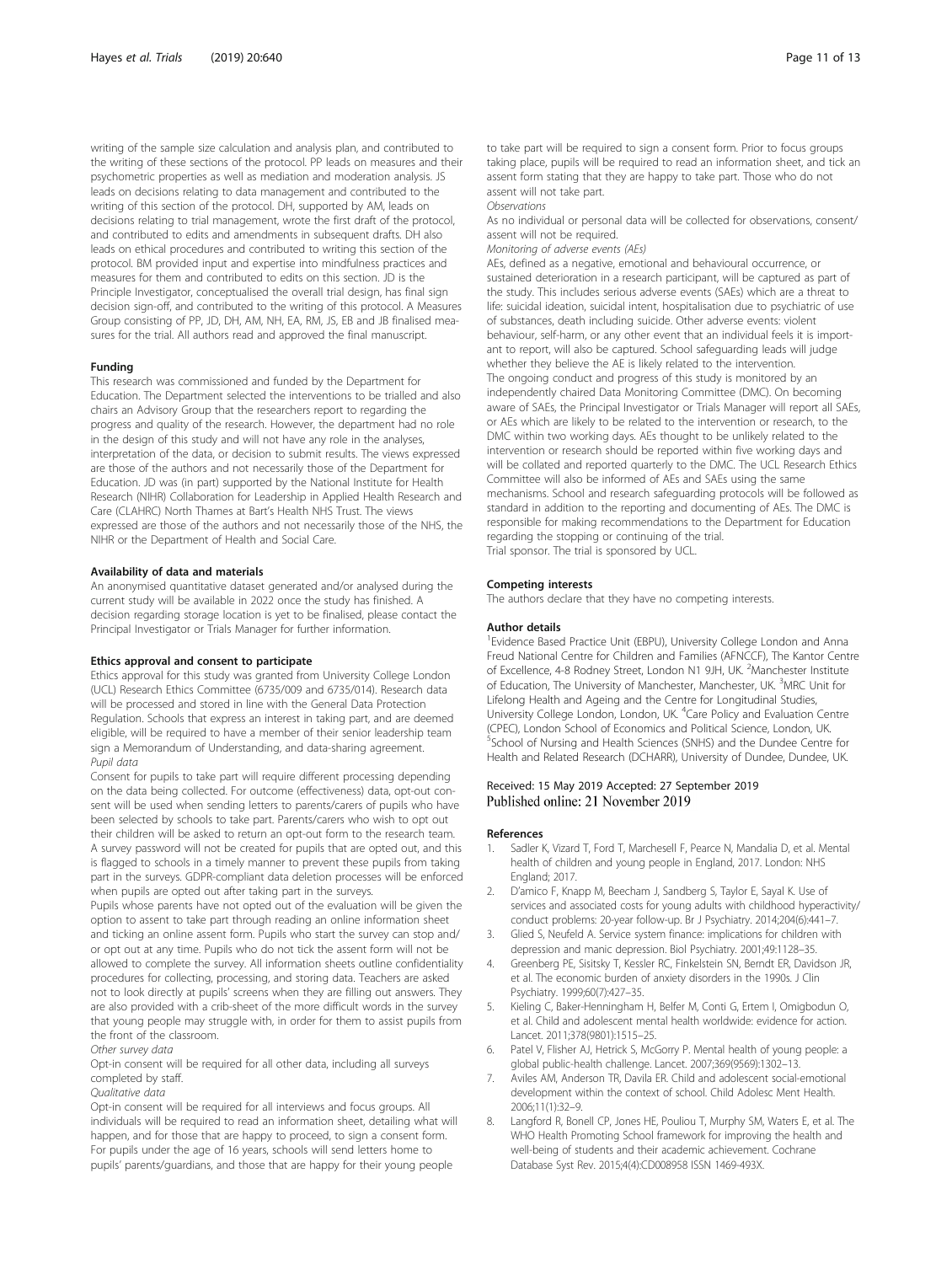<span id="page-10-0"></span>writing of the sample size calculation and analysis plan, and contributed to the writing of these sections of the protocol. PP leads on measures and their psychometric properties as well as mediation and moderation analysis. JS leads on decisions relating to data management and contributed to the writing of this section of the protocol. DH, supported by AM, leads on decisions relating to trial management, wrote the first draft of the protocol, and contributed to edits and amendments in subsequent drafts. DH also leads on ethical procedures and contributed to writing this section of the protocol. BM provided input and expertise into mindfulness practices and measures for them and contributed to edits on this section. JD is the Principle Investigator, conceptualised the overall trial design, has final sign decision sign-off, and contributed to the writing of this protocol. A Measures Group consisting of PP, JD, DH, AM, NH, EA, RM, JS, EB and JB finalised measures for the trial. All authors read and approved the final manuscript.

#### Funding

This research was commissioned and funded by the Department for Education. The Department selected the interventions to be trialled and also chairs an Advisory Group that the researchers report to regarding the progress and quality of the research. However, the department had no role in the design of this study and will not have any role in the analyses, interpretation of the data, or decision to submit results. The views expressed are those of the authors and not necessarily those of the Department for Education. JD was (in part) supported by the National Institute for Health Research (NIHR) Collaboration for Leadership in Applied Health Research and Care (CLAHRC) North Thames at Bart's Health NHS Trust. The views expressed are those of the authors and not necessarily those of the NHS, the NIHR or the Department of Health and Social Care.

#### Availability of data and materials

An anonymised quantitative dataset generated and/or analysed during the current study will be available in 2022 once the study has finished. A decision regarding storage location is yet to be finalised, please contact the Principal Investigator or Trials Manager for further information.

#### Ethics approval and consent to participate

Ethics approval for this study was granted from University College London (UCL) Research Ethics Committee (6735/009 and 6735/014). Research data will be processed and stored in line with the General Data Protection Regulation. Schools that express an interest in taking part, and are deemed eligible, will be required to have a member of their senior leadership team sign a Memorandum of Understanding, and data-sharing agreement. Pupil data

Consent for pupils to take part will require different processing depending on the data being collected. For outcome (effectiveness) data, opt-out consent will be used when sending letters to parents/carers of pupils who have been selected by schools to take part. Parents/carers who wish to opt out their children will be asked to return an opt-out form to the research team. A survey password will not be created for pupils that are opted out, and this is flagged to schools in a timely manner to prevent these pupils from taking part in the surveys. GDPR-compliant data deletion processes will be enforced when pupils are opted out after taking part in the surveys.

Pupils whose parents have not opted out of the evaluation will be given the option to assent to take part through reading an online information sheet and ticking an online assent form. Pupils who start the survey can stop and/ or opt out at any time. Pupils who do not tick the assent form will not be allowed to complete the survey. All information sheets outline confidentiality procedures for collecting, processing, and storing data. Teachers are asked not to look directly at pupils' screens when they are filling out answers. They are also provided with a crib-sheet of the more difficult words in the survey that young people may struggle with, in order for them to assist pupils from the front of the classroom.

Other survey data

Opt-in consent will be required for all other data, including all surveys completed by staff.

Qualitative data

Opt-in consent will be required for all interviews and focus groups. All individuals will be required to read an information sheet, detailing what will happen, and for those that are happy to proceed, to sign a consent form. For pupils under the age of 16 years, schools will send letters home to pupils' parents/guardians, and those that are happy for their young people

to take part will be required to sign a consent form. Prior to focus groups taking place, pupils will be required to read an information sheet, and tick an assent form stating that they are happy to take part. Those who do not assent will not take part.

**Observations** 

As no individual or personal data will be collected for observations, consent/ assent will not be required.

Monitoring of adverse events (AEs)

AEs, defined as a negative, emotional and behavioural occurrence, or sustained deterioration in a research participant, will be captured as part of the study. This includes serious adverse events (SAEs) which are a threat to life: suicidal ideation, suicidal intent, hospitalisation due to psychiatric of use of substances, death including suicide. Other adverse events: violent behaviour, self-harm, or any other event that an individual feels it is important to report, will also be captured. School safeguarding leads will judge whether they believe the AE is likely related to the intervention. The ongoing conduct and progress of this study is monitored by an independently chaired Data Monitoring Committee (DMC). On becoming aware of SAEs, the Principal Investigator or Trials Manager will report all SAEs, or AEs which are likely to be related to the intervention or research, to the DMC within two working days. AEs thought to be unlikely related to the intervention or research should be reported within five working days and will be collated and reported quarterly to the DMC. The UCL Research Ethics Committee will also be informed of AEs and SAEs using the same mechanisms. School and research safeguarding protocols will be followed as standard in addition to the reporting and documenting of AEs. The DMC is responsible for making recommendations to the Department for Education regarding the stopping or continuing of the trial. Trial sponsor. The trial is sponsored by UCL.

#### Competing interests

The authors declare that they have no competing interests.

#### Author details

<sup>1</sup> Evidence Based Practice Unit (EBPU), University College London and Anna Freud National Centre for Children and Families (AFNCCF), The Kantor Centre of Excellence, 4-8 Rodney Street, London N1 9JH, UK. <sup>2</sup>Manchester Institute of Education, The University of Manchester, Manchester, UK. <sup>3</sup>MRC Unit for Lifelong Health and Ageing and the Centre for Longitudinal Studies, University College London, London, UK. <sup>4</sup>Care Policy and Evaluation Centre (CPEC), London School of Economics and Political Science, London, UK. 5 School of Nursing and Health Sciences (SNHS) and the Dundee Centre for Health and Related Research (DCHARR), University of Dundee, Dundee, UK.

#### Received: 15 May 2019 Accepted: 27 September 2019 Published online: 21 November 2019

#### References

- 1. Sadler K, Vizard T, Ford T, Marchesell F, Pearce N, Mandalia D, et al. Mental health of children and young people in England, 2017. London: NHS England; 2017.
- 2. D'amico F, Knapp M, Beecham J, Sandberg S, Taylor E, Sayal K. Use of services and associated costs for young adults with childhood hyperactivity/ conduct problems: 20-year follow-up. Br J Psychiatry. 2014;204(6):441–7.
- Glied S, Neufeld A. Service system finance: implications for children with depression and manic depression. Biol Psychiatry. 2001;49:1128–35.
- 4. Greenberg PE, Sisitsky T, Kessler RC, Finkelstein SN, Berndt ER, Davidson JR, et al. The economic burden of anxiety disorders in the 1990s. J Clin Psychiatry. 1999;60(7):427–35.
- 5. Kieling C, Baker-Henningham H, Belfer M, Conti G, Ertem I, Omigbodun O, et al. Child and adolescent mental health worldwide: evidence for action. Lancet. 2011;378(9801):1515–25.
- 6. Patel V, Flisher AJ, Hetrick S, McGorry P. Mental health of young people: a global public-health challenge. Lancet. 2007;369(9569):1302–13.
- 7. Aviles AM, Anderson TR, Davila ER. Child and adolescent social-emotional development within the context of school. Child Adolesc Ment Health. 2006;11(1):32–9.
- 8. Langford R, Bonell CP, Jones HE, Pouliou T, Murphy SM, Waters E, et al. The WHO Health Promoting School framework for improving the health and well-being of students and their academic achievement. Cochrane Database Syst Rev. 2015;4(4):CD008958 ISSN 1469-493X.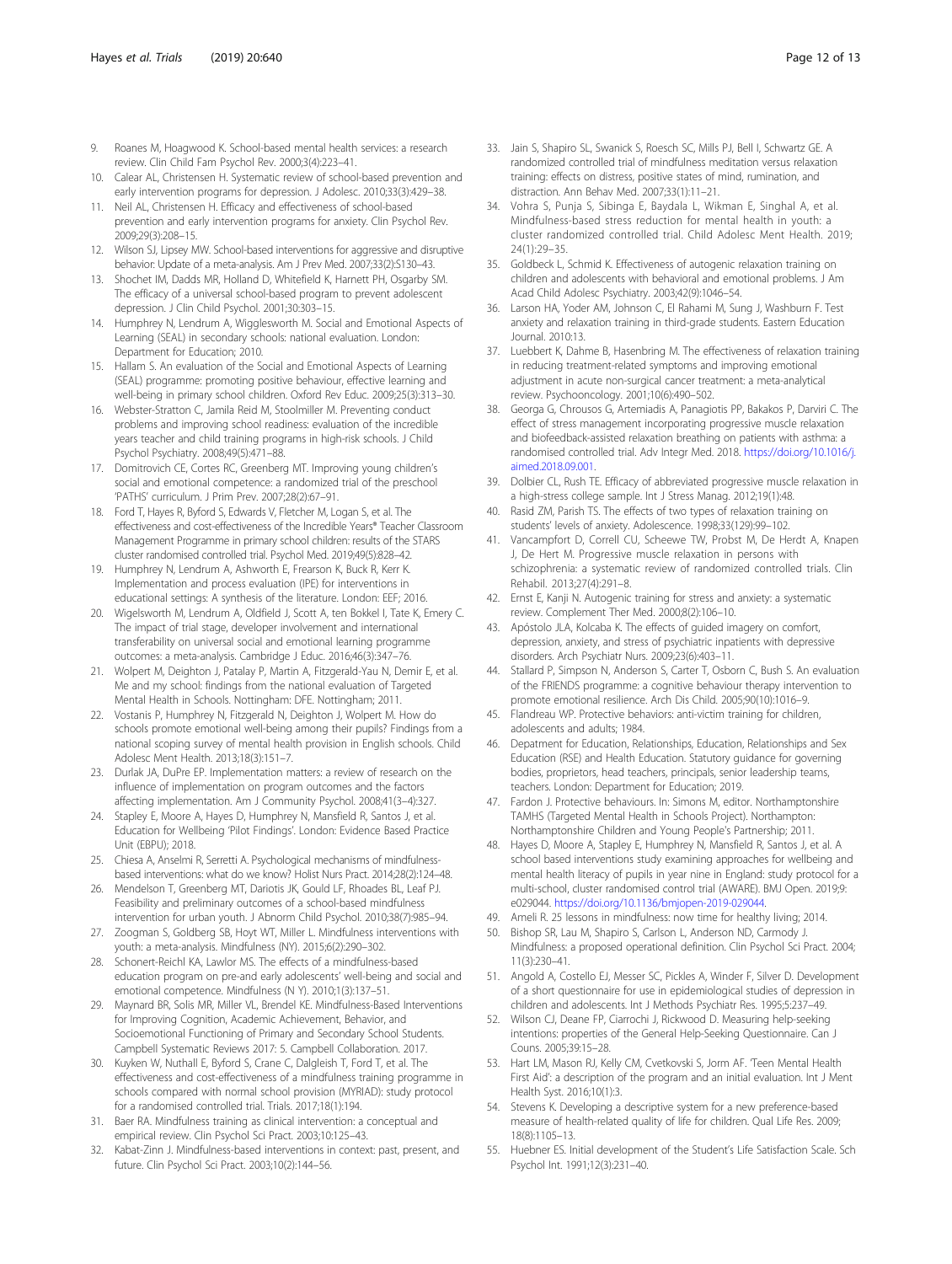- <span id="page-11-0"></span>9. Roanes M, Hoagwood K. School-based mental health services: a research review. Clin Child Fam Psychol Rev. 2000;3(4):223–41.
- 10. Calear AL, Christensen H. Systematic review of school-based prevention and early intervention programs for depression. J Adolesc. 2010;33(3):429–38.
- 11. Neil AL, Christensen H. Efficacy and effectiveness of school-based prevention and early intervention programs for anxiety. Clin Psychol Rev. 2009;29(3):208–15.
- 12. Wilson SJ, Lipsey MW. School-based interventions for aggressive and disruptive behavior: Update of a meta-analysis. Am J Prev Med. 2007;33(2):S130–43.
- 13. Shochet IM, Dadds MR, Holland D, Whitefield K, Harnett PH, Osgarby SM. The efficacy of a universal school-based program to prevent adolescent depression. J Clin Child Psychol. 2001;30:303–15.
- 14. Humphrey N, Lendrum A, Wigglesworth M. Social and Emotional Aspects of Learning (SEAL) in secondary schools: national evaluation. London: Department for Education; 2010.
- 15. Hallam S. An evaluation of the Social and Emotional Aspects of Learning (SEAL) programme: promoting positive behaviour, effective learning and well-being in primary school children. Oxford Rev Educ. 2009;25(3):313–30.
- 16. Webster-Stratton C, Jamila Reid M, Stoolmiller M. Preventing conduct problems and improving school readiness: evaluation of the incredible years teacher and child training programs in high-risk schools. J Child Psychol Psychiatry. 2008;49(5):471–88.
- 17. Domitrovich CE, Cortes RC, Greenberg MT. Improving young children's social and emotional competence: a randomized trial of the preschool 'PATHS' curriculum. J Prim Prev. 2007;28(2):67–91.
- 18. Ford T, Hayes R, Byford S, Edwards V, Fletcher M, Logan S, et al. The effectiveness and cost-effectiveness of the Incredible Years® Teacher Classroom Management Programme in primary school children: results of the STARS cluster randomised controlled trial. Psychol Med. 2019;49(5):828–42.
- 19. Humphrey N, Lendrum A, Ashworth E, Frearson K, Buck R, Kerr K. Implementation and process evaluation (IPE) for interventions in educational settings: A synthesis of the literature. London: EEF; 2016.
- 20. Wigelsworth M, Lendrum A, Oldfield J, Scott A, ten Bokkel I, Tate K, Emery C. The impact of trial stage, developer involvement and international transferability on universal social and emotional learning programme outcomes: a meta-analysis. Cambridge J Educ. 2016;46(3):347–76.
- 21. Wolpert M, Deighton J, Patalay P, Martin A, Fitzgerald-Yau N, Demir E, et al. Me and my school: findings from the national evaluation of Targeted Mental Health in Schools. Nottingham: DFE. Nottingham; 2011.
- 22. Vostanis P, Humphrey N, Fitzgerald N, Deighton J, Wolpert M. How do schools promote emotional well-being among their pupils? Findings from a national scoping survey of mental health provision in English schools. Child Adolesc Ment Health. 2013;18(3):151–7.
- 23. Durlak JA, DuPre EP. Implementation matters: a review of research on the influence of implementation on program outcomes and the factors affecting implementation. Am J Community Psychol. 2008;41(3–4):327.
- 24. Stapley E, Moore A, Hayes D, Humphrey N, Mansfield R, Santos J, et al. Education for Wellbeing 'Pilot Findings'. London: Evidence Based Practice Unit (EBPU); 2018.
- 25. Chiesa A, Anselmi R, Serretti A. Psychological mechanisms of mindfulnessbased interventions: what do we know? Holist Nurs Pract. 2014;28(2):124–48.
- 26. Mendelson T, Greenberg MT, Dariotis JK, Gould LF, Rhoades BL, Leaf PJ. Feasibility and preliminary outcomes of a school-based mindfulness intervention for urban youth. J Abnorm Child Psychol. 2010;38(7):985–94.
- 27. Zoogman S, Goldberg SB, Hoyt WT, Miller L. Mindfulness interventions with youth: a meta-analysis. Mindfulness (NY). 2015;6(2):290–302.
- 28. Schonert-Reichl KA, Lawlor MS. The effects of a mindfulness-based education program on pre-and early adolescents' well-being and social and emotional competence. Mindfulness (N Y). 2010;1(3):137–51.
- 29. Maynard BR, Solis MR, Miller VL, Brendel KE. Mindfulness-Based Interventions for Improving Cognition, Academic Achievement, Behavior, and Socioemotional Functioning of Primary and Secondary School Students. Campbell Systematic Reviews 2017: 5. Campbell Collaboration. 2017.
- 30. Kuyken W, Nuthall E, Byford S, Crane C, Dalgleish T, Ford T, et al. The effectiveness and cost-effectiveness of a mindfulness training programme in schools compared with normal school provision (MYRIAD): study protocol for a randomised controlled trial. Trials. 2017;18(1):194.
- 31. Baer RA. Mindfulness training as clinical intervention: a conceptual and empirical review. Clin Psychol Sci Pract. 2003;10:125–43.
- 32. Kabat-Zinn J. Mindfulness-based interventions in context: past, present, and future. Clin Psychol Sci Pract. 2003;10(2):144–56.
- 33. Jain S, Shapiro SL, Swanick S, Roesch SC, Mills PJ, Bell I, Schwartz GE. A randomized controlled trial of mindfulness meditation versus relaxation training: effects on distress, positive states of mind, rumination, and distraction. Ann Behav Med. 2007;33(1):11–21.
- 34. Vohra S, Punja S, Sibinga E, Baydala L, Wikman E, Singhal A, et al. Mindfulness-based stress reduction for mental health in youth: a cluster randomized controlled trial. Child Adolesc Ment Health. 2019; 24(1):29–35.
- 35. Goldbeck L, Schmid K. Effectiveness of autogenic relaxation training on children and adolescents with behavioral and emotional problems. J Am Acad Child Adolesc Psychiatry. 2003;42(9):1046–54.
- 36. Larson HA, Yoder AM, Johnson C, El Rahami M, Sung J, Washburn F. Test anxiety and relaxation training in third-grade students. Eastern Education Journal. 2010:13.
- 37. Luebbert K, Dahme B, Hasenbring M. The effectiveness of relaxation training in reducing treatment-related symptoms and improving emotional adjustment in acute non-surgical cancer treatment: a meta-analytical review. Psychooncology. 2001;10(6):490–502.
- 38. Georga G, Chrousos G, Artemiadis A, Panagiotis PP, Bakakos P, Darviri C. The effect of stress management incorporating progressive muscle relaxation and biofeedback-assisted relaxation breathing on patients with asthma: a randomised controlled trial. Adv Integr Med. 2018. [https://doi.org/10.1016/j.](https://doi.org/10.1016/j.aimed.2018.09.001) [aimed.2018.09.001.](https://doi.org/10.1016/j.aimed.2018.09.001)
- 39. Dolbier CL, Rush TE. Efficacy of abbreviated progressive muscle relaxation in a high-stress college sample. Int J Stress Manag. 2012;19(1):48.
- 40. Rasid ZM, Parish TS. The effects of two types of relaxation training on students' levels of anxiety. Adolescence. 1998;33(129):99–102.
- 41. Vancampfort D, Correll CU, Scheewe TW, Probst M, De Herdt A, Knapen J, De Hert M. Progressive muscle relaxation in persons with schizophrenia: a systematic review of randomized controlled trials. Clin Rehabil. 2013;27(4):291–8.
- 42. Ernst E, Kanji N. Autogenic training for stress and anxiety: a systematic review. Complement Ther Med. 2000;8(2):106–10.
- 43. Apóstolo JLA, Kolcaba K. The effects of guided imagery on comfort, depression, anxiety, and stress of psychiatric inpatients with depressive disorders. Arch Psychiatr Nurs. 2009;23(6):403–11.
- 44. Stallard P, Simpson N, Anderson S, Carter T, Osborn C, Bush S. An evaluation of the FRIENDS programme: a cognitive behaviour therapy intervention to promote emotional resilience. Arch Dis Child. 2005;90(10):1016–9.
- 45. Flandreau WP. Protective behaviors: anti-victim training for children, adolescents and adults; 1984.
- 46. Depatment for Education, Relationships, Education, Relationships and Sex Education (RSE) and Health Education. Statutory guidance for governing bodies, proprietors, head teachers, principals, senior leadership teams, teachers. London: Department for Education; 2019.
- 47. Fardon J. Protective behaviours. In: Simons M, editor. Northamptonshire TAMHS (Targeted Mental Health in Schools Project). Northampton: Northamptonshire Children and Young People's Partnership; 2011.
- 48. Hayes D, Moore A, Stapley E, Humphrey N, Mansfield R, Santos J, et al. A school based interventions study examining approaches for wellbeing and mental health literacy of pupils in year nine in England: study protocol for a multi-school, cluster randomised control trial (AWARE). BMJ Open. 2019;9: e029044. <https://doi.org/10.1136/bmjopen-2019-029044>.
- 49. Ameli R. 25 lessons in mindfulness: now time for healthy living; 2014.
- 50. Bishop SR, Lau M, Shapiro S, Carlson L, Anderson ND, Carmody J. Mindfulness: a proposed operational definition. Clin Psychol Sci Pract. 2004; 11(3):230–41.
- 51. Angold A, Costello EJ, Messer SC, Pickles A, Winder F, Silver D. Development of a short questionnaire for use in epidemiological studies of depression in children and adolescents. Int J Methods Psychiatr Res. 1995;5:237–49.
- 52. Wilson CJ, Deane FP, Ciarrochi J, Rickwood D. Measuring help-seeking intentions: properties of the General Help-Seeking Questionnaire. Can J Couns. 2005;39:15–28.
- 53. Hart LM, Mason RJ, Kelly CM, Cvetkovski S, Jorm AF. 'Teen Mental Health First Aid': a description of the program and an initial evaluation. Int J Ment Health Syst. 2016;10(1):3.
- 54. Stevens K. Developing a descriptive system for a new preference-based measure of health-related quality of life for children. Qual Life Res. 2009; 18(8):1105–13.
- 55. Huebner ES. Initial development of the Student's Life Satisfaction Scale. Sch Psychol Int. 1991;12(3):231–40.